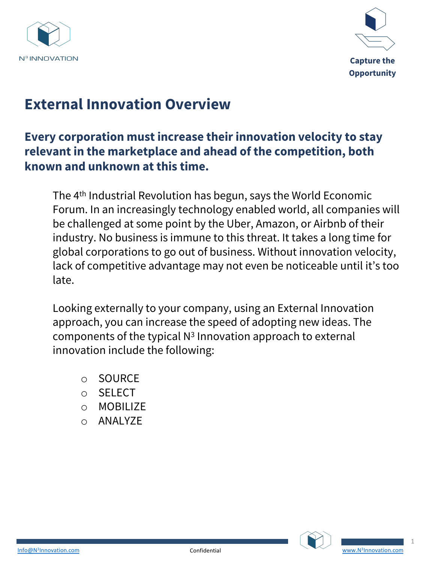



# **External Innovation Overview**

### **Every corporation must increase their innovation velocity to stay relevant in the marketplace and ahead of the competition, both known and unknown at this time.**

The 4th Industrial Revolution has begun, says the World Economic Forum. In an increasingly technology enabled world, all companies will be challenged at some point by the Uber, Amazon, or Airbnb of their industry. No business is immune to this threat. It takes a long time for global corporations to go out of business. Without innovation velocity, lack of competitive advantage may not even be noticeable until it's too late.

Looking externally to your company, using an External Innovation approach, you can increase the speed of adopting new ideas. The components of the typical  $N<sup>3</sup>$  Innovation approach to external innovation include the following:

- o SOURCE
- o SELECT
- o MOBILIZE
- o ANALYZE





1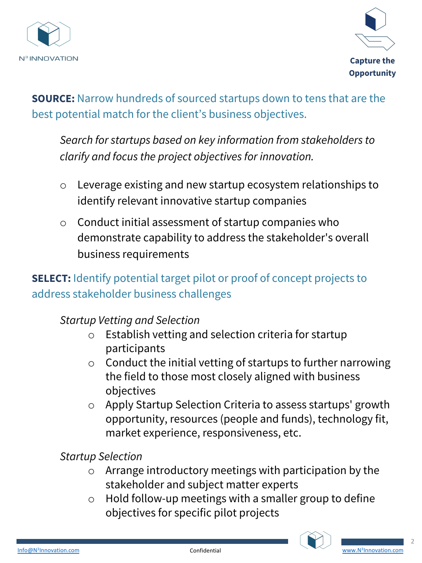



**SOURCE:** Narrow hundreds of sourced startups down to tens that are the best potential match for the client's business objectives.

*Search for startups based on key information from stakeholders to clarify and focus the project objectives for innovation.* 

- o Leverage existing and new startup ecosystem relationships to identify relevant innovative startup companies
- o Conduct initial assessment of startup companies who demonstrate capability to address the stakeholder's overall business requirements

### **SELECT:** Identify potential target pilot or proof of concept projects to address stakeholder business challenges

#### *Startup Vetting and Selection*

- o Establish vetting and selection criteria for startup participants
- o Conduct the initial vetting of startups to further narrowing the field to those most closely aligned with business objectives
- o Apply Startup Selection Criteria to assess startups' growth opportunity, resources (people and funds), technology fit, market experience, responsiveness, etc.

*Startup Selection* 

- o Arrange introductory meetings with participation by the stakeholder and subject matter experts
- o Hold follow-up meetings with a smaller group to [define](http://www.n3innovation.com/)  objectives for specific pilot projects





2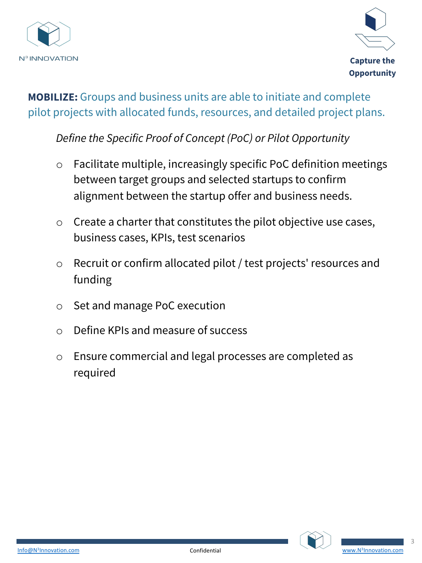



**MOBILIZE:** Groups and business units are able to initiate and complete pilot projects with allocated funds, resources, and detailed project plans.

*Define the Specific Proof of Concept (PoC) or Pilot Opportunity*

- o Facilitate multiple, increasingly specific PoC definition meetings between target groups and selected startups to confirm alignment between the startup offer and business needs.
- o Create a charter that constitutes the pilot objective use cases, business cases, KPIs, test scenarios
- o Recruit or confirm allocated pilot / test projects' resources and funding
- o Set and manage PoC execution
- o Define KPIs and measure of success
- o Ensure commercial and legal processes are completed as required





3